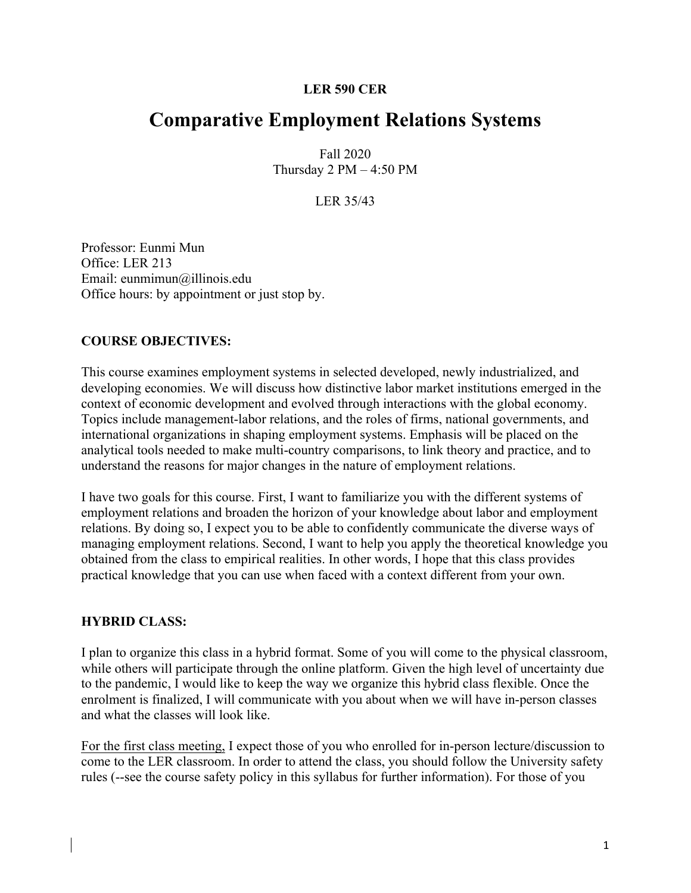### **LER 590 CER**

# **Comparative Employment Relations Systems**

Fall 2020 Thursday 2 PM – 4:50 PM

#### LER 35/43

Professor: Eunmi Mun Office: LER 213 Email: eunmimun@illinois.edu Office hours: by appointment or just stop by.

#### **COURSE OBJECTIVES:**

This course examines employment systems in selected developed, newly industrialized, and developing economies. We will discuss how distinctive labor market institutions emerged in the context of economic development and evolved through interactions with the global economy. Topics include management-labor relations, and the roles of firms, national governments, and international organizations in shaping employment systems. Emphasis will be placed on the analytical tools needed to make multi-country comparisons, to link theory and practice, and to understand the reasons for major changes in the nature of employment relations.

I have two goals for this course. First, I want to familiarize you with the different systems of employment relations and broaden the horizon of your knowledge about labor and employment relations. By doing so, I expect you to be able to confidently communicate the diverse ways of managing employment relations. Second, I want to help you apply the theoretical knowledge you obtained from the class to empirical realities. In other words, I hope that this class provides practical knowledge that you can use when faced with a context different from your own.

#### **HYBRID CLASS:**

I plan to organize this class in a hybrid format. Some of you will come to the physical classroom, while others will participate through the online platform. Given the high level of uncertainty due to the pandemic, I would like to keep the way we organize this hybrid class flexible. Once the enrolment is finalized, I will communicate with you about when we will have in-person classes and what the classes will look like.

For the first class meeting, I expect those of you who enrolled for in-person lecture/discussion to come to the LER classroom. In order to attend the class, you should follow the University safety rules (--see the course safety policy in this syllabus for further information). For those of you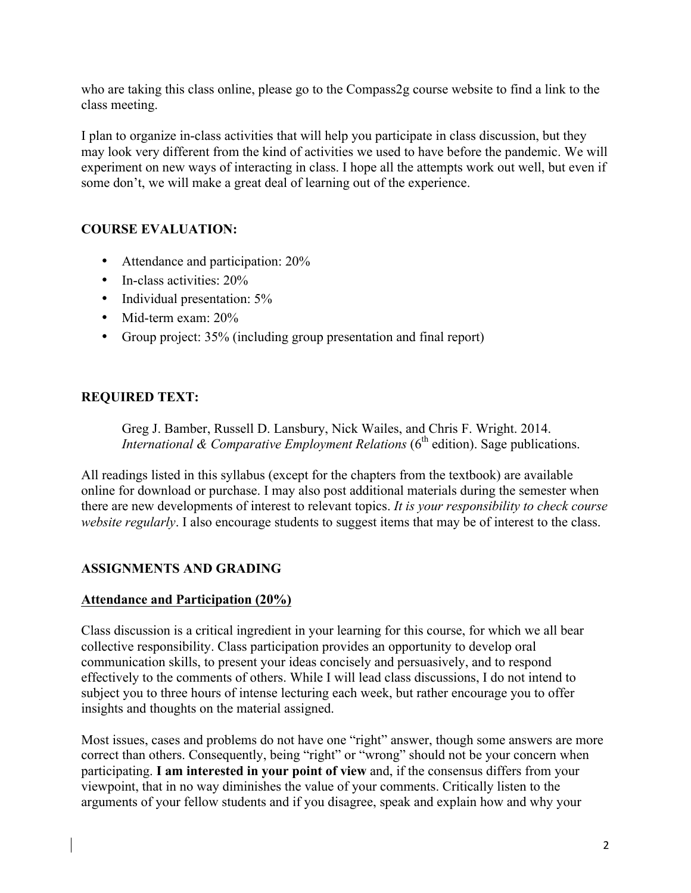who are taking this class online, please go to the Compass2g course website to find a link to the class meeting.

I plan to organize in-class activities that will help you participate in class discussion, but they may look very different from the kind of activities we used to have before the pandemic. We will experiment on new ways of interacting in class. I hope all the attempts work out well, but even if some don't, we will make a great deal of learning out of the experience.

# **COURSE EVALUATION:**

- Attendance and participation: 20%
- In-class activities: 20%
- Individual presentation: 5%
- Mid-term exam: 20%
- Group project: 35% (including group presentation and final report)

# **REQUIRED TEXT:**

Greg J. Bamber, Russell D. Lansbury, Nick Wailes, and Chris F. Wright. 2014. *International & Comparative Employment Relations* (6<sup>th</sup> edition). Sage publications.

All readings listed in this syllabus (except for the chapters from the textbook) are available online for download or purchase. I may also post additional materials during the semester when there are new developments of interest to relevant topics. *It is your responsibility to check course website regularly*. I also encourage students to suggest items that may be of interest to the class.

# **ASSIGNMENTS AND GRADING**

# **Attendance and Participation (20%)**

Class discussion is a critical ingredient in your learning for this course, for which we all bear collective responsibility. Class participation provides an opportunity to develop oral communication skills, to present your ideas concisely and persuasively, and to respond effectively to the comments of others. While I will lead class discussions, I do not intend to subject you to three hours of intense lecturing each week, but rather encourage you to offer insights and thoughts on the material assigned.

Most issues, cases and problems do not have one "right" answer, though some answers are more correct than others. Consequently, being "right" or "wrong" should not be your concern when participating. **I am interested in your point of view** and, if the consensus differs from your viewpoint, that in no way diminishes the value of your comments. Critically listen to the arguments of your fellow students and if you disagree, speak and explain how and why your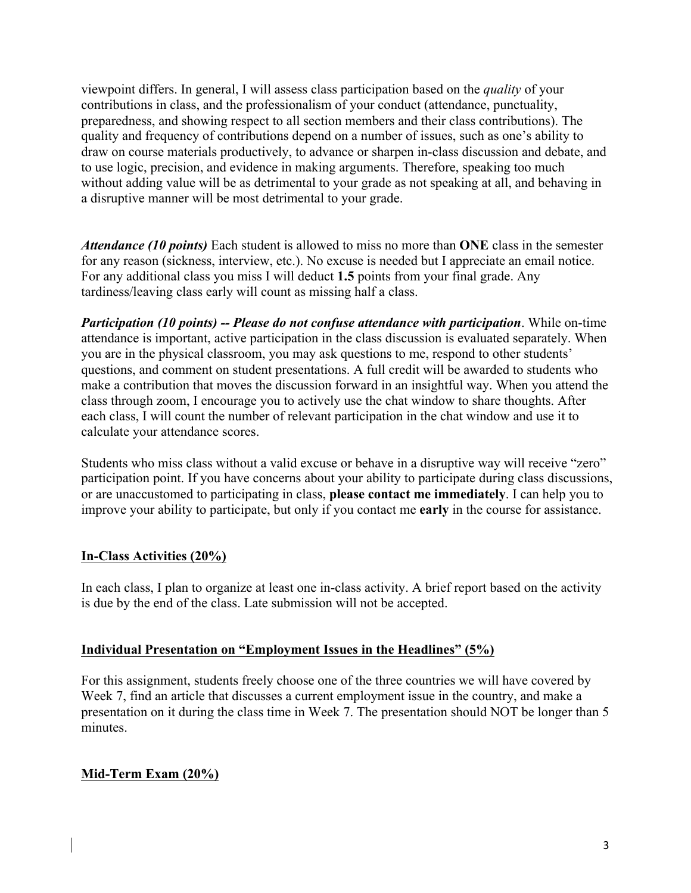viewpoint differs. In general, I will assess class participation based on the *quality* of your contributions in class, and the professionalism of your conduct (attendance, punctuality, preparedness, and showing respect to all section members and their class contributions). The quality and frequency of contributions depend on a number of issues, such as one's ability to draw on course materials productively, to advance or sharpen in-class discussion and debate, and to use logic, precision, and evidence in making arguments. Therefore, speaking too much without adding value will be as detrimental to your grade as not speaking at all, and behaving in a disruptive manner will be most detrimental to your grade.

*Attendance (10 points)* Each student is allowed to miss no more than **ONE** class in the semester for any reason (sickness, interview, etc.). No excuse is needed but I appreciate an email notice. For any additional class you miss I will deduct **1.5** points from your final grade. Any tardiness/leaving class early will count as missing half a class.

*Participation (10 points) -- Please do not confuse attendance with participation*. While on-time attendance is important, active participation in the class discussion is evaluated separately. When you are in the physical classroom, you may ask questions to me, respond to other students' questions, and comment on student presentations. A full credit will be awarded to students who make a contribution that moves the discussion forward in an insightful way. When you attend the class through zoom, I encourage you to actively use the chat window to share thoughts. After each class, I will count the number of relevant participation in the chat window and use it to calculate your attendance scores.

Students who miss class without a valid excuse or behave in a disruptive way will receive "zero" participation point. If you have concerns about your ability to participate during class discussions, or are unaccustomed to participating in class, **please contact me immediately**. I can help you to improve your ability to participate, but only if you contact me **early** in the course for assistance.

# **In-Class Activities (20%)**

In each class, I plan to organize at least one in-class activity. A brief report based on the activity is due by the end of the class. Late submission will not be accepted.

# **Individual Presentation on "Employment Issues in the Headlines" (5%)**

For this assignment, students freely choose one of the three countries we will have covered by Week 7, find an article that discusses a current employment issue in the country, and make a presentation on it during the class time in Week 7. The presentation should NOT be longer than 5 minutes.

# **Mid-Term Exam (20%)**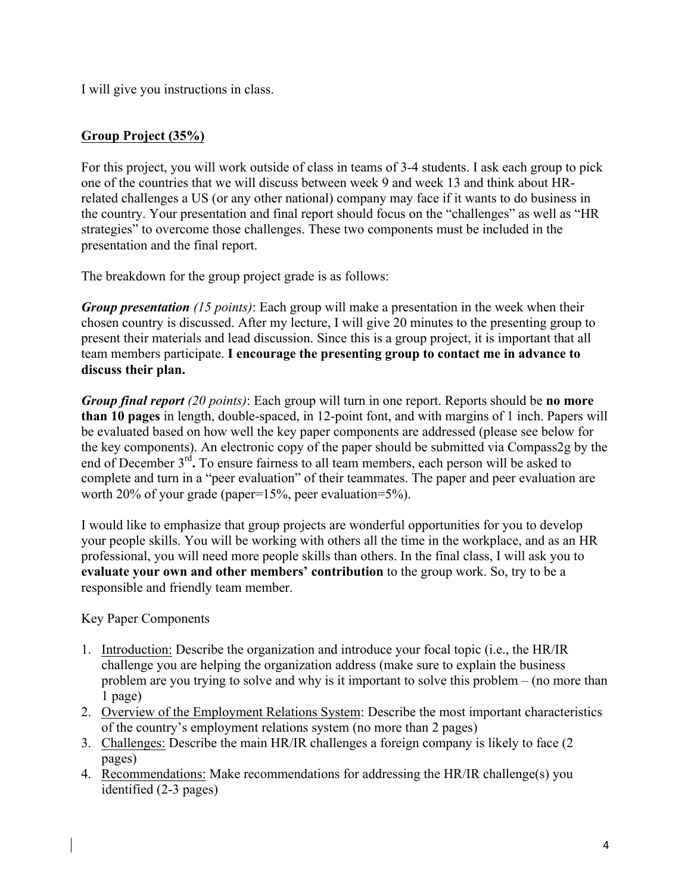I will give you instructions in class.

# **Group Project (35%)**

For this project, you will work outside of class in teams of 3-4 students. I ask each group to pick one of the countries that we will discuss between week 9 and week 13 and think about HRrelated challenges a US (or any other national) company may face if it wants to do business in the country. Your presentation and final report should focus on the "challenges" as well as "HR strategies" to overcome those challenges. These two components must be included in the presentation and the final report.

The breakdown for the group project grade is as follows:

*Group presentation (15 points)*: Each group will make a presentation in the week when their chosen country is discussed. After my lecture, I will give 20 minutes to the presenting group to present their materials and lead discussion. Since this is a group project, it is important that all team members participate. **I encourage the presenting group to contact me in advance to discuss their plan.** 

*Group final report (20 points)*: Each group will turn in one report. Reports should be **no more than 10 pages** in length, double-spaced, in 12-point font, and with margins of 1 inch. Papers will be evaluated based on how well the key paper components are addressed (please see below for the key components). An electronic copy of the paper should be submitted via Compass2g by the end of December 3<sup>rd</sup>. To ensure fairness to all team members, each person will be asked to complete and turn in a "peer evaluation" of their teammates. The paper and peer evaluation are worth 20% of your grade (paper=15%, peer evaluation=5%).

I would like to emphasize that group projects are wonderful opportunities for you to develop your people skills. You will be working with others all the time in the workplace, and as an HR professional, you will need more people skills than others. In the final class, I will ask you to **evaluate your own and other members' contribution** to the group work. So, try to be a responsible and friendly team member.

Key Paper Components

- 1. Introduction: Describe the organization and introduce your focal topic (i.e., the HR/IR challenge you are helping the organization address (make sure to explain the business problem are you trying to solve and why is it important to solve this problem – (no more than 1 page)
- 2. Overview of the Employment Relations System: Describe the most important characteristics of the country's employment relations system (no more than 2 pages)
- 3. Challenges: Describe the main HR/IR challenges a foreign company is likely to face (2 pages)
- 4. Recommendations: Make recommendations for addressing the HR/IR challenge(s) you identified (2-3 pages)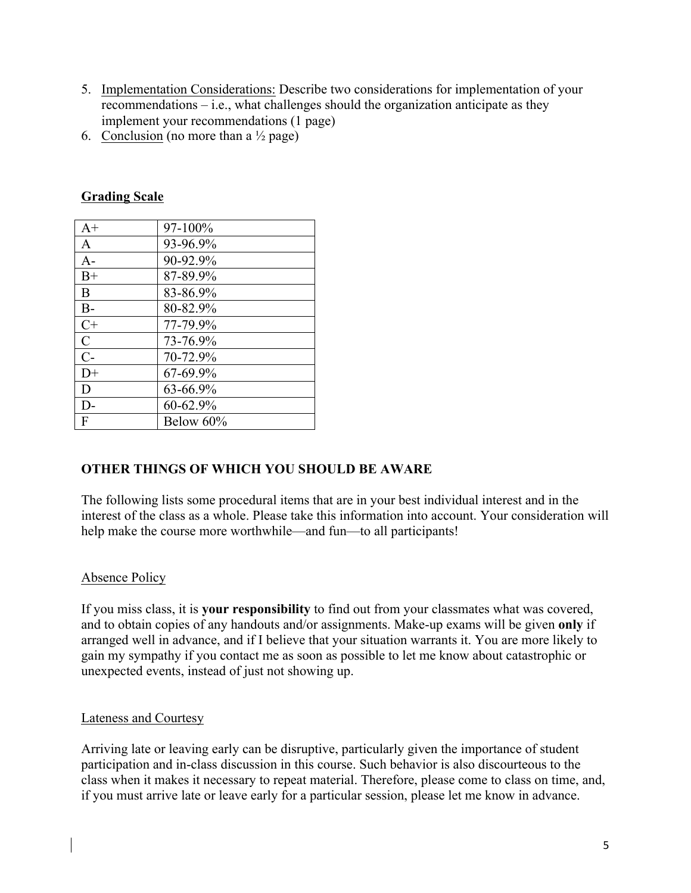- 5. Implementation Considerations: Describe two considerations for implementation of your recommendations – i.e., what challenges should the organization anticipate as they implement your recommendations (1 page)
- 6. Conclusion (no more than a  $\frac{1}{2}$  page)

| A+            | 97-100%   |
|---------------|-----------|
| $\mathbf{A}$  | 93-96.9%  |
| $A-$          | 90-92.9%  |
| $B+$          | 87-89.9%  |
| B             | 83-86.9%  |
| $B-$          | 80-82.9%  |
| $C+$          | 77-79.9%  |
| $\mathcal{C}$ | 73-76.9%  |
| $C-$          | 70-72.9%  |
| $D+$          | 67-69.9%  |
| D             | 63-66.9%  |
| D-            | 60-62.9%  |
| F             | Below 60% |

# **Grading Scale**

# **OTHER THINGS OF WHICH YOU SHOULD BE AWARE**

The following lists some procedural items that are in your best individual interest and in the interest of the class as a whole. Please take this information into account. Your consideration will help make the course more worthwhile—and fun—to all participants!

# Absence Policy

If you miss class, it is **your responsibility** to find out from your classmates what was covered, and to obtain copies of any handouts and/or assignments. Make-up exams will be given **only** if arranged well in advance, and if I believe that your situation warrants it. You are more likely to gain my sympathy if you contact me as soon as possible to let me know about catastrophic or unexpected events, instead of just not showing up.

#### Lateness and Courtesy

Arriving late or leaving early can be disruptive, particularly given the importance of student participation and in-class discussion in this course. Such behavior is also discourteous to the class when it makes it necessary to repeat material. Therefore, please come to class on time, and, if you must arrive late or leave early for a particular session, please let me know in advance.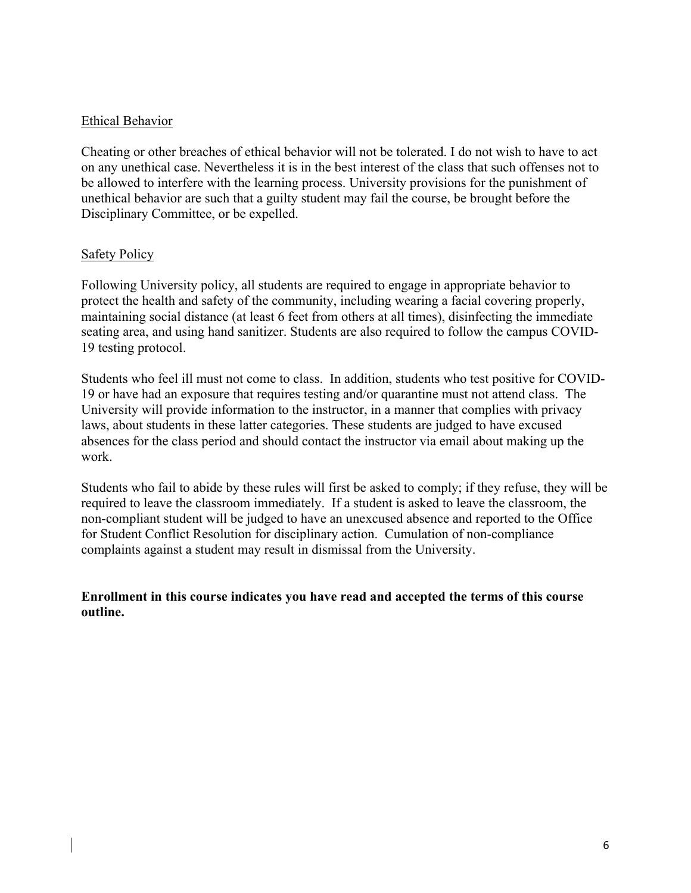#### Ethical Behavior

Cheating or other breaches of ethical behavior will not be tolerated. I do not wish to have to act on any unethical case. Nevertheless it is in the best interest of the class that such offenses not to be allowed to interfere with the learning process. University provisions for the punishment of unethical behavior are such that a guilty student may fail the course, be brought before the Disciplinary Committee, or be expelled.

#### Safety Policy

Following University policy, all students are required to engage in appropriate behavior to protect the health and safety of the community, including wearing a facial covering properly, maintaining social distance (at least 6 feet from others at all times), disinfecting the immediate seating area, and using hand sanitizer. Students are also required to follow the campus COVID-19 testing protocol.

Students who feel ill must not come to class. In addition, students who test positive for COVID-19 or have had an exposure that requires testing and/or quarantine must not attend class. The University will provide information to the instructor, in a manner that complies with privacy laws, about students in these latter categories. These students are judged to have excused absences for the class period and should contact the instructor via email about making up the work.

Students who fail to abide by these rules will first be asked to comply; if they refuse, they will be required to leave the classroom immediately. If a student is asked to leave the classroom, the non-compliant student will be judged to have an unexcused absence and reported to the Office for Student Conflict Resolution for disciplinary action. Cumulation of non-compliance complaints against a student may result in dismissal from the University.

**Enrollment in this course indicates you have read and accepted the terms of this course outline.**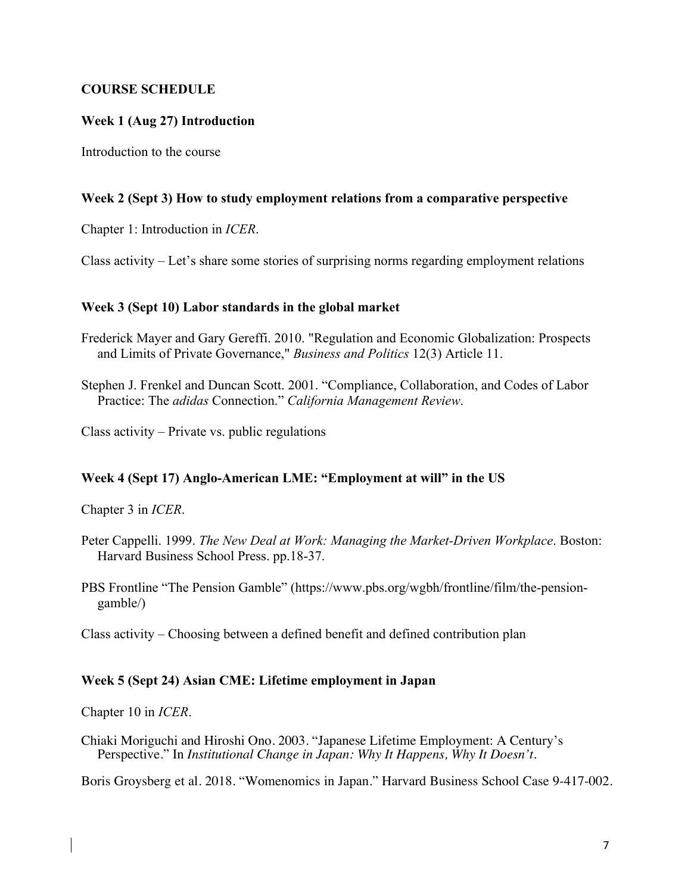### **COURSE SCHEDULE**

#### **Week 1 (Aug 27) Introduction**

Introduction to the course

#### **Week 2 (Sept 3) How to study employment relations from a comparative perspective**

Chapter 1: Introduction in *ICER*.

Class activity – Let's share some stories of surprising norms regarding employment relations

#### **Week 3 (Sept 10) Labor standards in the global market**

- Frederick Mayer and Gary Gereffi. 2010. "Regulation and Economic Globalization: Prospects and Limits of Private Governance," *Business and Politics* 12(3) Article 11.
- Stephen J. Frenkel and Duncan Scott. 2001. "Compliance, Collaboration, and Codes of Labor Practice: The *adidas* Connection." *California Management Review*.

Class activity – Private vs. public regulations

#### **Week 4 (Sept 17) Anglo-American LME: "Employment at will" in the US**

Chapter 3 in *ICER*.

- Peter Cappelli. 1999. *The New Deal at Work: Managing the Market-Driven Workplace*. Boston: Harvard Business School Press. pp.18-37.
- PBS Frontline "The Pension Gamble" (https://www.pbs.org/wgbh/frontline/film/the-pensiongamble/)

Class activity – Choosing between a defined benefit and defined contribution plan

#### **Week 5 (Sept 24) Asian CME: Lifetime employment in Japan**

Chapter 10 in *ICER*.

Chiaki Moriguchi and Hiroshi Ono. 2003. "Japanese Lifetime Employment: A Century's Perspective." In *Institutional Change in Japan: Why It Happens, Why It Doesn't.*

Boris Groysberg et al. 2018. "Womenomics in Japan." Harvard Business School Case 9-417-002.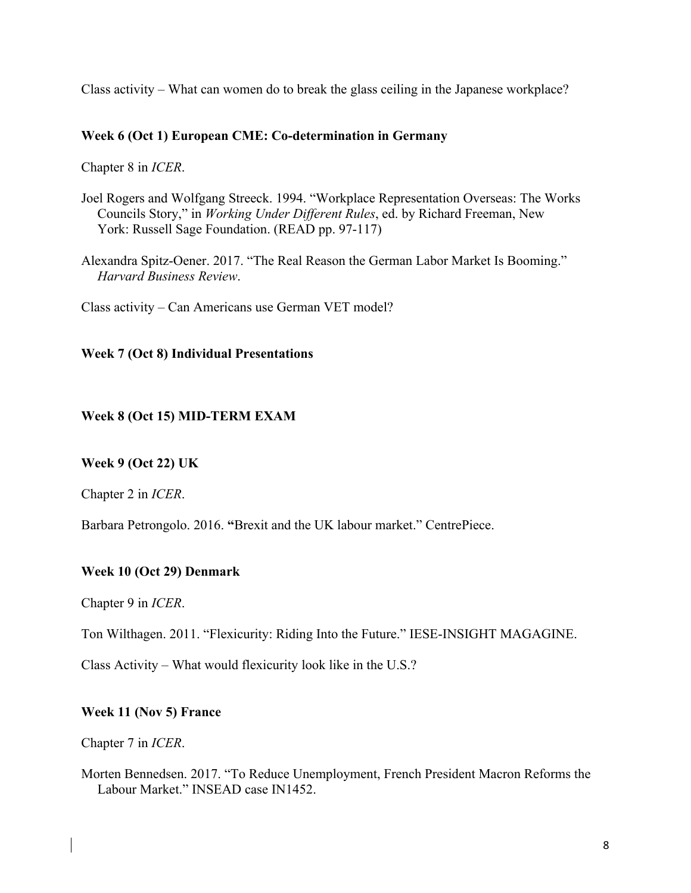Class activity – What can women do to break the glass ceiling in the Japanese workplace?

# **Week 6 (Oct 1) European CME: Co-determination in Germany**

Chapter 8 in *ICER*.

- Joel Rogers and Wolfgang Streeck. 1994. "Workplace Representation Overseas: The Works Councils Story," in *Working Under Different Rules*, ed. by Richard Freeman, New York: Russell Sage Foundation. (READ pp. 97-117)
- Alexandra Spitz-Oener. 2017. "The Real Reason the German Labor Market Is Booming." *Harvard Business Review*.

Class activity – Can Americans use German VET model?

#### **Week 7 (Oct 8) Individual Presentations**

# **Week 8 (Oct 15) MID-TERM EXAM**

#### **Week 9 (Oct 22) UK**

Chapter 2 in *ICER*.

Barbara Petrongolo. 2016. **"**Brexit and the UK labour market." CentrePiece.

# **Week 10 (Oct 29) Denmark**

Chapter 9 in *ICER*.

Ton Wilthagen. 2011. "Flexicurity: Riding Into the Future." IESE-INSIGHT MAGAGINE.

Class Activity – What would flexicurity look like in the U.S.?

#### **Week 11 (Nov 5) France**

Chapter 7 in *ICER*.

Morten Bennedsen. 2017. "To Reduce Unemployment, French President Macron Reforms the Labour Market." INSEAD case IN1452.